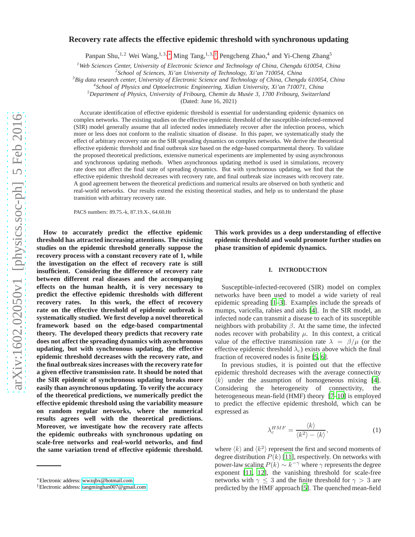# arXiv:1602.02050v1 [physics.soc-ph] 5 Feb 2016 [arXiv:1602.02050v1 \[physics.soc-ph\] 5 Feb 2016](http://arxiv.org/abs/1602.02050v1)

# **Recovery rate affects the effective epidemic threshold with synchronous updating**

Panpan Shu,<sup>1,2</sup> Wei Wang,<sup>1,3,\*</sup> Ming Tang,<sup>1,3,[†](#page-0-1)</sup> Pengcheng Zhao,<sup>4</sup> and Yi-Cheng Zhang<sup>5</sup>

*<sup>1</sup>Web Sciences Center, University of Electronic Science and Technology of China, Chengdu 610054, China*

*2 School of Sciences, Xi'an University of Technology, Xi'an 710054, China*

*<sup>3</sup>Big data research center, University of Electronic Science and Technology of China, Chengdu 610054, China*

*4 School of Physics and Optoelectronic Engineering, Xidian University, Xi'an 710071, China*

<sup>5</sup>Department of Physics, University of Fribourg, Chemin du Musée 3, 1700 Fribourg, Switzerland

(Dated: June 16, 2021)

Accurate identification of effective epidemic threshold is essential for understanding epidemic dynamics on complex networks. The existing studies on the effective epidemic threshold of the susceptible-infected-removed (SIR) model generally assume that all infected nodes immediately recover after the infection process, which more or less does not conform to the realistic situation of disease. In this paper, we systematically study the effect of arbitrary recovery rate on the SIR spreading dynamics on complex networks. We derive the theoretical effective epidemic threshold and final outbreak size based on the edge-based compartmental theory. To validate the proposed theoretical predictions, extensive numerical experiments are implemented by using asynchronous and synchronous updating methods. When asynchronous updating method is used in simulations, recovery rate does not affect the final state of spreading dynamics. But with synchronous updating, we find that the effective epidemic threshold decreases with recovery rate, and final outbreak size increases with recovery rate. A good agreement between the theoretical predictions and numerical results are observed on both synthetic and real-world networks. Our results extend the existing theoretical studies, and help us to understand the phase transition with arbitrary recovery rate.

PACS numbers: 89.75.-k, 87.19.X-, 64.60.Ht

**How to accurately predict the effective epidemic threshold has attracted increasing attentions. The existing studies on the epidemic threshold generally suppose the recovery process with a constant recovery rate of 1, while the investigation on the effect of recovery rate is still insufficient. Considering the difference of recovery rate between different real diseases and the accompanying effects on the human health, it is very necessary to predict the effective epidemic thresholds with different recovery rates. In this work, the effect of recovery rate on the effective threshold of epidemic outbreak is systematically studied. We first develop a novel theoretical framework based on the edge-based compartmental theory. The developed theory predicts that recovery rate does not affect the spreading dynamics with asynchronous updating, but with synchronous updating, the effective epidemic threshold decreases with the recovery rate, and the final outbreak sizes increases with the recovery rate for a given effective transmission rate. It should be noted that the SIR epidemic of synchronous updating breaks more easily than asynchronous updating. To verify the accuracy of the theoretical predictions, we numerically predict the effective epidemic threshold using the variability measure on random regular networks, where the numerical results agrees well with the theoretical predictions. Moreover, we investigate how the recovery rate affects the epidemic outbreaks with synchronous updating on scale-free networks and real-world networks, and find the same variation trend of effective epidemic threshold.**

**This work provides us a deep understanding of effective epidemic threshold and would promote further studies on phase transition of epidemic dynamics.**

# **I. INTRODUCTION**

Susceptible-infected-recovered (SIR) model on complex networks have been used to model a wide variety of real epidemic spreading [\[1](#page-6-0)[–3\]](#page-6-1). Examples include the spreads of mumps, varicella, rabies and aids [\[4\]](#page-6-2). In the SIR model, an infected node can transmit a disease to each of its susceptible neighbors with probability  $β$ . At the same time, the infected nodes recover with probability  $\mu$ . In this context, a critical value of the effective transmission rate  $\lambda = \beta/\mu$  (or the effective epidemic threshold  $\lambda_c$ ) exists above which the final fraction of recovered nodes is finite [\[5,](#page-6-3) [6\]](#page-6-4).

In previous studies, it is pointed out that the effective epidemic threshold decreases with the average connectivity  $\langle k \rangle$  under the assumption of homogeneous mixing [\[4](#page-6-2)]. Considering the heterogeneity of connectivity, the heterogeneous mean-field (HMF) theory [\[7](#page-6-5)[–10\]](#page-6-6) is employed to predict the effective epidemic threshold, which can be expressed as

<span id="page-0-2"></span>
$$
\lambda_c^{HMF} = \frac{\langle k \rangle}{\langle k^2 \rangle - \langle k \rangle},\tag{1}
$$

where  $\langle k \rangle$  and  $\langle k^2 \rangle$  represent the first and second moments of degree distribution  $P(k)$  [\[11\]](#page-6-7), respectively. On networks with power-law scaling  $P(k) \sim k^{-\gamma}$  where  $\gamma$  represents the degree exponent [\[11](#page-6-7), [12](#page-6-8)], the vanishing threshold for scale-free networks with  $\gamma \leq 3$  and the finite threshold for  $\gamma > 3$  are predicted by the HMF approach [\[5\]](#page-6-3). The quenched mean-field

<span id="page-0-0"></span><sup>∗</sup>Electronic address: [wwzqbx@hotmail.com](mailto:wwzqbx@hotmail.com)

<span id="page-0-1"></span><sup>†</sup>Electronic address: [tangminghan007@gmail.com](mailto:tangminghan007@gmail.com)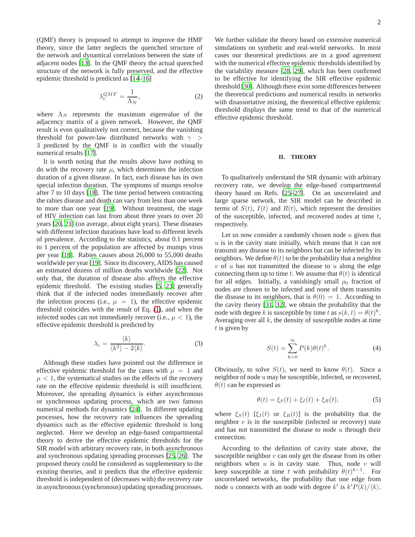(QMF) theory is proposed to attempt to improve the HMF theory, since the latter neglects the quenched structure of the network and dynamical correlations between the state of adjacent nodes [\[13\]](#page-6-9). In the QMF theory the actual quenched structure of the network is fully preserved, and the effective epidemic threshold is predicted as [\[14](#page-6-10)[–16](#page-6-11)]

$$
\lambda_c^{QMF} = \frac{1}{\Lambda_N},\tag{2}
$$

where  $\Lambda_N$  represents the maximum eigenvalue of the adjacency matrix of a given network. However, the QMF result is even qualitatively not correct, because the vanishing threshold for power-law distributed networks with  $\gamma >$ 3 predicted by the QMF is in conflict with the visually numerical results [\[17](#page-6-12)].

It is worth noting that the results above have nothing to do with the recovery rate  $\mu$ , which determines the infection duration of a given disease. In fact, each disease has its own special infection duration. The symptoms of mumps resolve after 7 to 10 days [\[18\]](#page-6-13). The time period between contracting the rabies disease and death can vary from less than one week to more than one year [\[19\]](#page-6-14). Without treatment, the stage of HIV infection can last from about three years to over 20 years [\[20,](#page-6-15) [21\]](#page-6-16) (on average, about eight years). These diseases with different infection durations have lead to different levels of prevalence. According to the statistics, about 0.1 percent to 1 percent of the population are affected by mumps virus per year [\[18\]](#page-6-13). Rabies causes about 26,000 to 55,000 deaths worldwide per year [\[19](#page-6-14)]. Since its discovery, AIDS has caused an estimated dozens of million deaths worldwide [\[22](#page-6-17)]. Not only that, the duration of disease also affects the effective epidemic threshold. The existing studies [\[5,](#page-6-3) [23\]](#page-6-18) generally think that if the infected nodes immediately recover after the infection process (i.e.,  $\mu = 1$ ), the effective epidemic threshold coincides with the result of Eq. [\(1\)](#page-0-2), and when the infected nodes can not immediately recover (i.e.,  $\mu$  < 1), the effective epidemic threshold is predicted by

<span id="page-1-2"></span>
$$
\lambda_c = \frac{\langle k \rangle}{\langle k^2 \rangle - 2 \langle k \rangle}.
$$
 (3)

Although these studies have pointed out the difference in effective epidemic threshold for the cases with  $\mu = 1$  and  $\mu$  < 1, the systematical studies on the effects of the recovery rate on the effective epidemic threshold is still insufficient. Moreover, the spreading dynamics is either asynchronous or synchronous updating process, which are two famous numerical methods for dynamics [\[24\]](#page-6-19). In different updating processes, how the recovery rate influences the spreading dynamics such as the effective epidemic threshold is long neglected. Here we develop an edge-based compartmental theory to derive the effective epidemic thresholds for the SIR model with arbitrary recovery rate, in both asynchronous and synchronous updating spreading processes [\[25](#page-6-20), [26\]](#page-6-21). The proposed theory could be considered as supplementary to the existing theories, and it predicts that the effective epidemic threshold is independent of (decreases with) the recovery rate in asynchronous (synchronous) updating spreading processes.

We further validate the theory based on extensive numerical simulations on synthetic and real-world networks. In most cases our theoretical predictions are in a good agreement with the numerical effective epidemic thresholds identified by the variability measure [\[28,](#page-6-22) [29](#page-6-23)], which has been confirmed to be effective for identifying the SIR effective epidemic threshold [\[30](#page-6-24)]. Although there exist some differences between the theoretical predictions and numerical results in networks with disassortative mixing, the theoretical effective epidemic threshold displays the same trend to that of the numerical effective epidemic threshold.

# **II. THEORY**

To qualitatively understand the SIR dynamic with arbitrary recovery rate, we develop the edge-based compartmental theory based on Refs. [\[25–](#page-6-20)[27\]](#page-6-25). On an uncorrelated and large sparse network, the SIR model can be described in terms of  $S(t)$ ,  $I(t)$  and  $R(t)$ , which represent the densities of the susceptible, infected, and recovered nodes at time  $t$ , respectively.

Let us now consider a randomly chosen node  $u$  given that  $u$  is in the cavity state initially, which means that it can not transmit any disease to its neighbors but can be infected by its neighbors. We define  $\theta(t)$  to be the probability that a neighbor  $v$  of  $u$  has not transmitted the disease to  $u$  along the edge connecting them up to time t. We assume that  $\theta(t)$  is identical for all edges. Initially, a vanishingly small  $\rho_0$  fraction of nodes are chosen to be infected and none of them transmits the disease to its neighbors, that is  $\theta(0) = 1$ . According to the cavity theory [\[31,](#page-6-26) [32](#page-6-27)], we obtain the probability that the node with degree k is susceptible by time t as  $s(k, t) = \theta(t)^k$ . Averaging over all  $k$ , the density of susceptible nodes at time  $t$  is given by

<span id="page-1-1"></span>
$$
S(t) = \sum_{k=0}^{\infty} P(k)\theta(t)^k.
$$
 (4)

Obviously, to solve  $S(t)$ , we need to know  $\theta(t)$ . Since a neighbor of node u may be susceptible, infected, or recovered,  $\theta(t)$  can be expressed as

<span id="page-1-0"></span>
$$
\theta(t) = \xi_S(t) + \xi_I(t) + \xi_R(t),\tag{5}
$$

where  $\xi_S(t)$  [ $\xi_I(t)$  or  $\xi_R(t)$ ] is the probability that the neighbor  $v$  is in the susceptible (infected or recovery) state and has not transmitted the disease to node  $u$  through their connection.

According to the definition of cavity state above, the susceptible neighbor  $v$  can only get the disease from its other neighbors when  $u$  is in cavity state. Thus, node  $v$  will keep susceptible at time t with probability  $\theta(t)^{k-1}$ . For uncorrelated networks, the probability that one edge from node u connects with an node with degree k' is  $k'P(k)/\langle k \rangle$ .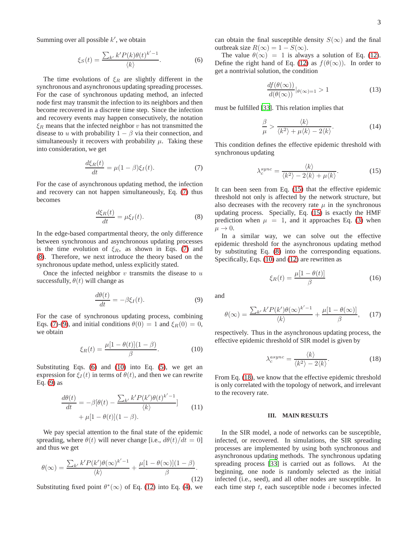Summing over all possible  $k'$ , we obtain

<span id="page-2-3"></span>
$$
\xi_S(t) = \frac{\sum_{k'} k' P(k) \theta(t)^{k'-1}}{\langle k \rangle}.
$$
 (6)

The time evolutions of  $\xi_R$  are slightly different in the synchronous and asynchronous updating spreading processes. For the case of synchronous updating method, an infected node first may transmit the infection to its neighbors and then become recovered in a discrete time step. Since the infection and recovery events may happen consecutively, the notation  $\xi_R$  means that the infected neighbor v has not transmitted the disease to u with probability  $1 - \beta$  via their connection, and simultaneously it recovers with probability  $\mu$ . Taking these into consideration, we get

<span id="page-2-0"></span>
$$
\frac{d\xi_R(t)}{dt} = \mu(1-\beta)\xi_I(t). \tag{7}
$$

For the case of asynchronous updating method, the infection and recovery can not happen simultaneously, Eq. [\(7\)](#page-2-0) thus becomes

<span id="page-2-1"></span>
$$
\frac{d\xi_R(t)}{dt} = \mu \xi_I(t). \tag{8}
$$

In the edge-based compartmental theory, the only difference between synchronous and asynchronous updating processes is the time evolution of  $\xi_R$ , as shown in Eqs. [\(7\)](#page-2-0) and [\(8\)](#page-2-1). Therefore, we next introduce the theory based on the synchronous update method, unless explicitly stated.

Once the infected neighbor  $v$  transmits the disease to  $u$ successfully,  $\theta(t)$  will change as

<span id="page-2-2"></span>
$$
\frac{d\theta(t)}{dt} = -\beta \xi_I(t). \tag{9}
$$

For the case of synchronous updating process, combining Eqs. [\(7\)](#page-2-0)-[\(9\)](#page-2-2), and initial conditions  $\theta(0) = 1$  and  $\xi_R(0) = 0$ , we obtain

<span id="page-2-4"></span>
$$
\xi_R(t) = \frac{\mu[1 - \theta(t)](1 - \beta)}{\beta}.
$$
\n(10)

Substituting Eqs. [\(6\)](#page-2-3) and [\(10\)](#page-2-4) into Eq. [\(5\)](#page-1-0), we get an expression for  $\xi_I(t)$  in terms of  $\theta(t)$ , and then we can rewrite Eq.  $(9)$  as

$$
\frac{d\theta(t)}{dt} = -\beta[\theta(t) - \frac{\sum_{k'} k' P(k')\theta(t)^{k'-1}}{\langle k \rangle}] + \mu[1 - \theta(t)](1 - \beta).
$$
\n(11)

We pay special attention to the final state of the epidemic spreading, where  $\theta(t)$  will never change [i.e.,  $d\theta(t)/dt = 0$ ] and thus we get

<span id="page-2-5"></span>
$$
\theta(\infty) = \frac{\sum_{k'} k' P(k') \theta(\infty)^{k'-1}}{\langle k \rangle} + \frac{\mu[1 - \theta(\infty)](1 - \beta)}{\beta}.
$$
\n(12)

Substituting fixed point  $\theta^*(\infty)$  of Eq. [\(12\)](#page-2-5) into Eq. [\(4\)](#page-1-1), we

can obtain the final susceptible density  $S(\infty)$  and the final outbreak size  $R(\infty) = 1 - S(\infty)$ .

The value  $\theta(\infty) = 1$  is always a solution of Eq. [\(12\)](#page-2-5). Define the right hand of Eq. [\(12\)](#page-2-5) as  $f(\theta(\infty))$ . In order to get a nontrivial solution, the condition

$$
\frac{df(\theta(\infty))}{d(\theta(\infty))} |_{\theta(\infty)=1} > 1
$$
\n(13)

must be fulfilled [\[33](#page-6-28)]. This relation implies that

$$
\frac{\beta}{\mu} > \frac{\langle k \rangle}{\langle k^2 \rangle + \mu \langle k \rangle - 2 \langle k \rangle}.\tag{14}
$$

This condition defines the effective epidemic threshold with synchronous updating

<span id="page-2-6"></span>
$$
\lambda_c^{sync} = \frac{\langle k \rangle}{\langle k^2 \rangle - 2\langle k \rangle + \mu \langle k \rangle}.
$$
 (15)

It can been seen from Eq. [\(15\)](#page-2-6) that the effective epidemic threshold not only is affected by the network structure, but also decreases with the recovery rate  $\mu$  in the synchronous updating process. Specially, Eq. [\(15\)](#page-2-6) is exactly the HMF prediction when  $\mu = 1$ , and it approaches Eq. [\(3\)](#page-1-2) when  $\mu \rightarrow 0$ .

In a similar way, we can solve out the effective epidemic threshold for the asynchronous updating method by substituting Eq. [\(8\)](#page-2-1) into the corresponding equations. Specifically, Eqs. [\(10\)](#page-2-4) and [\(12\)](#page-2-5) are rewritten as

$$
\xi_R(t) = \frac{\mu[1 - \theta(t)]}{\beta} \tag{16}
$$

and

$$
\theta(\infty) = \frac{\sum_{k'} k' P(k') \theta(\infty)^{k'-1}}{\langle k \rangle} + \frac{\mu[1 - \theta(\infty)]}{\beta}, \quad (17)
$$

respectively. Thus in the asynchronous updating process, the effective epidemic threshold of SIR model is given by

<span id="page-2-7"></span>
$$
\lambda_c^{async} = \frac{\langle k \rangle}{\langle k^2 \rangle - 2\langle k \rangle}.
$$
\n(18)

From Eq. [\(18\)](#page-2-7), we know that the effective epidemic threshold is only correlated with the topology of network, and irrelevant to the recovery rate.

# **III. MAIN RESULTS**

In the SIR model, a node of networks can be susceptible, infected, or recovered. In simulations, the SIR spreading processes are implemented by using both synchronous and asynchronous updating methods. The synchronous updating spreading process [\[33\]](#page-6-28) is carried out as follows. At the beginning, one node is randomly selected as the initial infected (i.e., seed), and all other nodes are susceptible. In each time step  $t$ , each susceptible node  $i$  becomes infected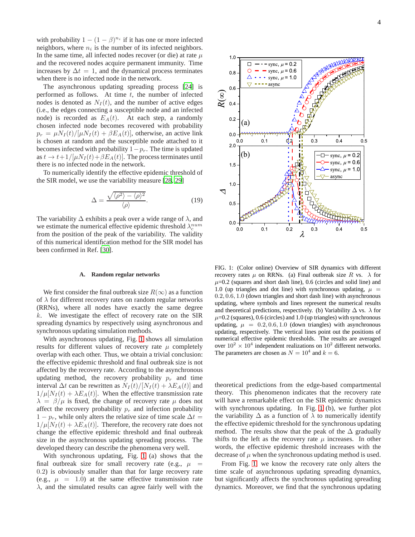with probability  $1 - (1 - \beta)^{n_i}$  if it has one or more infected neighbors, where  $n_i$  is the number of its infected neighbors. In the same time, all infected nodes recover (or die) at rate  $\mu$ and the recovered nodes acquire permanent immunity. Time increases by  $\Delta t = 1$ , and the dynamical process terminates when there is no infected node in the network.

The asynchronous updating spreading process [\[24\]](#page-6-19) is performed as follows. At time  $t$ , the number of infected nodes is denoted as  $N_I(t)$ , and the number of active edges (i.e., the edges connecting a susceptible node and an infected node) is recorded as  $E_A(t)$ . At each step, a randomly chosen infected node becomes recovered with probability  $p_r = \mu N_I(t)/[\mu N_I(t) + \beta E_A(t)]$ , otherwise, an active link is chosen at random and the susceptible node attached to it becomes infected with probability  $1-p_r$ . The time is updated as  $t \to t+1/[\mu N_I(t)+\beta E_A(t)]$ . The process terminates until there is no infected node in the network.

To numerically identify the effective epidemic threshold of the SIR model, we use the variability measure [\[28](#page-6-22), [29](#page-6-23)]

$$
\Delta = \frac{\sqrt{\langle \rho^2 \rangle - \langle \rho \rangle^2}}{\langle \rho \rangle}.
$$
 (19)

The variability  $\Delta$  exhibits a peak over a wide range of  $\lambda$ , and we estimate the numerical effective epidemic threshold  $\lambda_c^{num}$ from the position of the peak of the variability. The validity of this numerical identification method for the SIR model has been confirmed in Ref. [\[30](#page-6-24)].

### **A. Random regular networks**

We first consider the final outbreak size  $R(\infty)$  as a function of  $\lambda$  for different recovery rates on random regular networks (RRNs), where all nodes have exactly the same degree  $k$ . We investigate the effect of recovery rate on the SIR spreading dynamics by respectively using asynchronous and synchronous updating simulation methods.

With asynchronous updating, Fig. [1](#page-3-0) shows all simulation results for different values of recovery rate  $\mu$  completely overlap with each other. Thus, we obtain a trivial conclusion: the effective epidemic threshold and final outbreak size is not affected by the recovery rate. According to the asynchronous updating method, the recovery probability  $p_r$  and time interval  $\Delta t$  can be rewritten as  $N_I(t)/[N_I(t) + \lambda E_A(t)]$  and  $1/\mu[N_I(t) + \lambda E_A(t)]$ . When the effective transmission rate  $\lambda = \beta/\mu$  is fixed, the change of recovery rate  $\mu$  does not affect the recovery probability  $p_r$  and infection probability  $1 - p_r$ , while only alters the relative size of time scale  $\Delta t =$  $1/\mu[N_I(t) + \lambda E_A(t)]$ . Therefore, the recovery rate does not change the effective epidemic threshold and final outbreak size in the asynchronous updating spreading process. The developed theory can describe the phenomena very well.

With synchronous updating, Fig. [1](#page-3-0) (a) shows that the final outbreak size for small recovery rate (e.g.,  $\mu$  = 0.2) is obviously smaller than that for large recovery rate (e.g.,  $\mu = 1.0$ ) at the same effective transmission rate  $\lambda$ , and the simulated results can agree fairly well with the



<span id="page-3-0"></span>FIG. 1: (Color online) Overview of SIR dynamics with different recovery rates  $\mu$  on RRNs. (a) Final outbreak size R vs.  $\lambda$  for  $\mu$ =0.2 (squares and short dash line), 0.6 (circles and solid line) and 1.0 (up triangles and dot line) with synchronous updating,  $\mu =$ 0.2, 0.6, 1.0 (down triangles and short dash line) with asynchronous updating, where symbols and lines represent the numerical results and theoretical predictions, respectively. (b) Variability  $\Delta$  vs.  $\lambda$  for  $\mu$ =0.2 (squares), 0.6 (circles) and 1.0 (up triangles) with synchronous updating,  $\mu = 0.2, 0.6, 1.0$  (down triangles) with asynchronous updating, respectively. The vertical lines point out the positions of numerical effective epidemic thresholds. The results are averaged over  $10^2 \times 10^4$  independent realizations on  $10^2$  different networks. The parameters are chosen as  $N = 10^4$  and  $k = 6$ .

theoretical predictions from the edge-based compartmental theory. This phenomenon indicates that the recovery rate will have a remarkable effect on the SIR epidemic dynamics with synchronous updating. In Fig. [1](#page-3-0) (b), we further plot the variability  $\Delta$  as a function of  $\lambda$  to numerically identify the effective epidemic threshold for the synchronous updating method. The results show that the peak of the  $\Delta$  gradually shifts to the left as the recovery rate  $\mu$  increases. In other words, the effective epidemic threshold increases with the decrease of  $\mu$  when the synchronous updating method is used.

From Fig. [1,](#page-3-0) we know the recovery rate only alters the time scale of asynchronous updating spreading dynamics, but significantly affects the synchronous updating spreading dynamics. Moreover, we find that the synchronous updating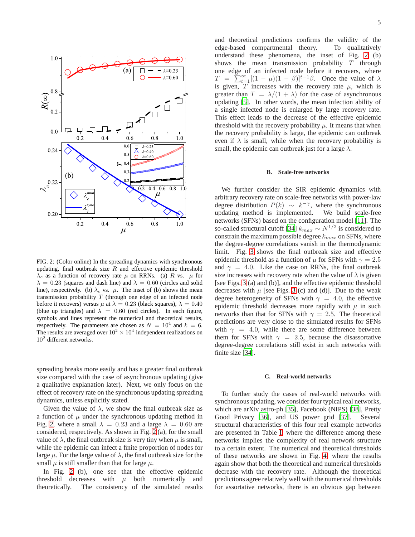

<span id="page-4-0"></span>FIG. 2: (Color online) In the spreading dynamics with synchronous updating, final outbreak size  $R$  and effective epidemic threshold  $\lambda_c$  as a function of recovery rate  $\mu$  on RRNs. (a) R vs.  $\mu$  for  $\lambda = 0.23$  (squares and dash line) and  $\lambda = 0.60$  (circles and solid line), respectively. (b)  $\lambda_c$  vs.  $\mu$ . The inset of (b) shows the mean transmission probability  $T$  (through one edge of an infected node before it recovers) versus  $\mu$  at  $\lambda = 0.23$  (black squares),  $\lambda = 0.40$ (blue up triangles) and  $\lambda = 0.60$  (red circles). In each figure, symbols and lines represent the numerical and theoretical results, respectively. The parameters are chosen as  $N = 10^4$  and  $k = 6$ . The results are averaged over  $10^2 \times 10^4$  independent realizations on  $10^2$  different networks.

spreading breaks more easily and has a greater final outbreak size compared with the case of asynchronous updating (give a qualitative explanation later). Next, we only focus on the effect of recovery rate on the synchronous updating spreading dynamics, unless explicitly stated.

Given the value of  $\lambda$ , we show the final outbreak size as a function of  $\mu$  under the synchronous updating method in Fig. [2,](#page-4-0) where a small  $\lambda = 0.23$  and a large  $\lambda = 0.60$  are considered, respectively. As shown in Fig. [2](#page-4-0) (a), for the small value of  $\lambda$ , the final outbreak size is very tiny when  $\mu$  is small, while the epidemic can infect a finite proportion of nodes for large  $\mu$ . For the large value of  $\lambda$ , the final outbreak size for the small  $\mu$  is still smaller than that for large  $\mu$ .

In Fig. [2](#page-4-0) (b), one see that the effective epidemic threshold decreases with  $\mu$  both numerically and theoretically. The consistency of the simulated results and theoretical predictions confirms the validity of the edge-based compartmental theory. To qualitatively understand these phenomena, the inset of Fig. [2](#page-4-0) (b) shows the mean transmission probability  $T$  through one edge of an infected node before it recovers, where  $T = \sum_{t=1}^{\infty} [(1 - \mu)(1 - \beta)]^{t-1} \beta$ . Once the value of  $\lambda$ is given,  $\overline{T}$  increases with the recovery rate  $\mu$ , which is greater than  $T = \lambda/(1 + \lambda)$  for the case of asynchronous updating [\[5\]](#page-6-3). In other words, the mean infection ability of a single infected node is enlarged by large recovery rate. This effect leads to the decrease of the effective epidemic threshold with the recovery probability  $\mu$ . It means that when the recovery probability is large, the epidemic can outbreak even if  $\lambda$  is small, while when the recovery probability is small, the epidemic can outbreak just for a large  $\lambda$ .

# **B. Scale-free networks**

We further consider the SIR epidemic dynamics with arbitrary recovery rate on scale-free networks with power-law degree distribution  $P(k) \sim k^{-\gamma}$ , where the synchronous updating method is implemented. We build scale-free networks (SFNs) based on the configuration model [\[11](#page-6-7)]. The so-called structural cutoff [\[34\]](#page-6-29)  $k_{max} \sim N^{1/2}$  is considered to constrain the maximum possible degree  $k_{max}$  on SFNs, where the degree-degree correlations vanish in the thermodynamic limit. Fig. [3](#page-5-0) shows the final outbreak size and effective epidemic threshold as a function of  $\mu$  for SFNs with  $\gamma = 2.5$ and  $\gamma = 4.0$ . Like the case on RRNs, the final outbreak size increases with recovery rate when the value of  $\lambda$  is given [see Figs. [3](#page-5-0) (a) and (b)], and the effective epidemic threshold decreases with  $\mu$  [see Figs. [3](#page-5-0) (c) and (d)]. Due to the weak degree heterogeneity of SFNs with  $\gamma = 4.0$ , the effective epidemic threshold decreases more rapidly with  $\mu$  in such networks than that for SFNs with  $\gamma = 2.5$ . The theoretical predictions are very close to the simulated results for SFNs with  $\gamma = 4.0$ , while there are some difference between them for SFNs with  $\gamma = 2.5$ , because the disassortative degree-degree correlations still exist in such networks with finite size [\[34](#page-6-29)].

### **C. Real-world networks**

To further study the cases of real-world networks with synchronous updating, we consider four typical real networks, which are arXiv astro-ph [\[35](#page-6-30)], Facebook (NIPS) [\[38](#page-6-31)], Pretty Good Privacy [\[36\]](#page-6-32), and US power grid [\[37\]](#page-6-33). Several structural characteristics of this four real example networks are presented in Table [I,](#page-5-1) where the difference among these networks implies the complexity of real network structure to a certain extent. The numerical and theoretical thresholds of these networks are shown in Fig. [4,](#page-5-2) where the results again show that both the theoretical and numerical thresholds decrease with the recovery rate. Although the theoretical predictions agree relatively well with the numerical thresholds for assortative networks, there is an obvious gap between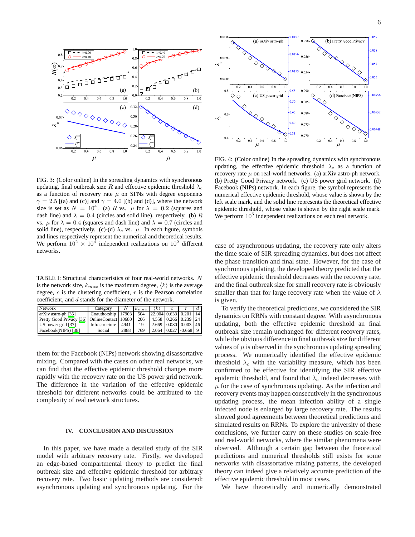

<span id="page-5-0"></span>FIG. 3: (Color online) In the spreading dynamics with synchronous updating, final outbreak size R and effective epidemic threshold  $\lambda_c$ as a function of recovery rate  $\mu$  on SFNs with degree exponents  $\gamma = 2.5$  [(a) and (c)] and  $\gamma = 4.0$  [(b) and (d)], where the network size is set as  $N = 10^4$ . (a) R vs.  $\mu$  for  $\lambda = 0.2$  (squares and dash line) and  $\lambda = 0.4$  (circles and solid line), respectively. (b) R vs.  $\mu$  for  $\lambda = 0.4$  (squares and dash line) and  $\lambda = 0.7$  (circles and solid line), respectively. (c)-(d)  $\lambda_c$  vs.  $\mu$ . In each figure, symbols and lines respectively represent the numerical and theoretical results. We perform  $10^2 \times 10^4$  independent realizations on  $10^2$  different networks.

<span id="page-5-1"></span>TABLE I: Structural characteristics of four real-world networks. N is the network size,  $k_{max}$  is the maximum degree,  $\langle k \rangle$  is the average degree,  $c$  is the clustering coefficient,  $r$  is the Pearson correlation coefficient, and d stands for the diameter of the network.

| Network                                      | Category           |      | $k_{max}$ | $\langle k \rangle$      |  |  |
|----------------------------------------------|--------------------|------|-----------|--------------------------|--|--|
| arXiv astro-ph [35]                          | Coauthorship 17903 |      | 504       | $22.004$ 0.633 0.201 14  |  |  |
| Pretty Good Privacy [36] OnlineContact 10680 |                    |      | 206       | 4.558 0.266 0.239 24     |  |  |
| US power grid [37]                           | Infrastructure     | 4941 | 19        | 2.669 0.080 0.003 46     |  |  |
| Facebook(NIPS) [38]                          | Social             | 2888 | 769       | $2.064$ 0.027 $-0.668$ 9 |  |  |

them for the Facebook (NIPs) network showing disassortative mixing. Compared with the cases on other real networks, we can find that the effective epidemic threshold changes more rapidly with the recovery rate on the US power grid network. The difference in the variation of the effective epidemic threshold for different networks could be attributed to the complexity of real network structures.

# **IV. CONCLUSION AND DISCUSSION**

In this paper, we have made a detailed study of the SIR model with arbitrary recovery rate. Firstly, we developed an edge-based compartmental theory to predict the final outbreak size and effective epidemic threshold for arbitrary recovery rate. Two basic updating methods are considered: asynchronous updating and synchronous updating. For the



<span id="page-5-2"></span>FIG. 4: (Color online) In the spreading dynamics with synchronous updating, the effective epidemic threshold  $\lambda_c$  as a function of recovery rate  $\mu$  on real-world networks. (a) arXiv astro-ph network. (b) Pretty Good Privacy network. (c) US power grid network. (d) Facebook (NIPs) network. In each figure, the symbol represents the numerical effective epidemic threshold, whose value is shown by the left scale mark, and the solid line represents the theoretical effective epidemic threshold, whose value is shown by the right scale mark. We perform  $10^6$  independent realizations on each real network.

case of asynchronous updating, the recovery rate only alters the time scale of SIR spreading dynamics, but does not affect the phase transition and final state. However, for the case of synchronous updating, the developed theory predicted that the effective epidemic threshold decreases with the recovery rate, and the final outbreak size for small recovery rate is obviously smaller than that for large recovery rate when the value of  $\lambda$ is given.

To verify the theoretical predictions, we considered the SIR dynamics on RRNs with constant degree. With asynchronous updating, both the effective epidemic threshold an final outbreak size remain unchanged for different recovery rates, while the obvious difference in final outbreak size for different values of  $\mu$  is observed in the synchronous updating spreading process. We numerically identified the effective epidemic threshold  $\lambda_c$  with the variability measure, which has been confirmed to be effective for identifying the SIR effective epidemic threshold, and found that  $\lambda_c$  indeed decreases with  $\mu$  for the case of synchronous updating. As the infection and recovery events may happen consecutively in the synchronous updating process, the mean infection ability of a single infected node is enlarged by large recovery rate. The results showed good agreements between theoretical predictions and simulated results on RRNs. To explore the university of these conclusions, we further carry on these studies on scale-free and real-world networks, where the similar phenomena were observed. Although a certain gap between the theoretical predictions and numerical thresholds still exists for some networks with disassortative mixing patterns, the developed theory can indeed give a relatively accurate prediction of the effective epidemic threshold in most cases.

We have theoretically and numerically demonstrated